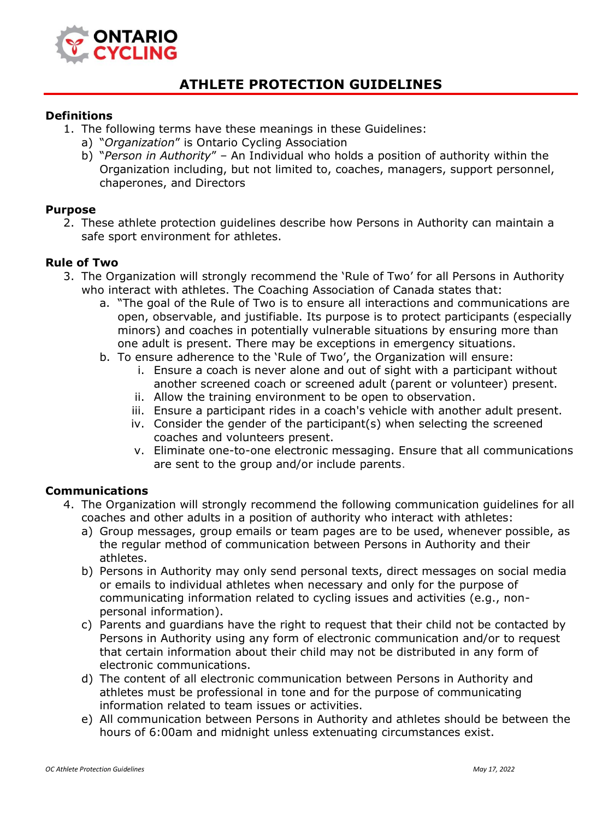

# **ATHLETE PROTECTION GUIDELINES**

## **Definitions**

- 1. The following terms have these meanings in these Guidelines:
	- a) "*Organization*" is Ontario Cycling Association
	- b) "*Person in Authority*" An Individual who holds a position of authority within the Organization including, but not limited to, coaches, managers, support personnel, chaperones, and Directors

## **Purpose**

2. These athlete protection guidelines describe how Persons in Authority can maintain a safe sport environment for athletes.

### **Rule of Two**

- 3. The Organization will strongly recommend the 'Rule of Two' for all Persons in Authority who interact with athletes. The Coaching Association of Canada states that:
	- a. "The goal of the Rule of Two is to ensure all interactions and communications are open, observable, and justifiable. Its purpose is to protect participants (especially minors) and coaches in potentially vulnerable situations by ensuring more than one adult is present. There may be exceptions in emergency situations.
	- b. To ensure adherence to the 'Rule of Two', the Organization will ensure:
		- i. Ensure a coach is never alone and out of sight with a participant without another screened coach or screened adult (parent or volunteer) present.
		- ii. Allow the training environment to be open to observation.
		- iii. Ensure a participant rides in a coach's vehicle with another adult present.
		- iv. Consider the gender of the participant(s) when selecting the screened coaches and volunteers present.
		- v. Eliminate one-to-one electronic messaging. Ensure that all communications are sent to the group and/or include parents.

# **Communications**

- 4. The Organization will strongly recommend the following communication guidelines for all coaches and other adults in a position of authority who interact with athletes:
	- a) Group messages, group emails or team pages are to be used, whenever possible, as the regular method of communication between Persons in Authority and their athletes.
	- b) Persons in Authority may only send personal texts, direct messages on social media or emails to individual athletes when necessary and only for the purpose of communicating information related to cycling issues and activities (e.g., nonpersonal information).
	- c) Parents and guardians have the right to request that their child not be contacted by Persons in Authority using any form of electronic communication and/or to request that certain information about their child may not be distributed in any form of electronic communications.
	- d) The content of all electronic communication between Persons in Authority and athletes must be professional in tone and for the purpose of communicating information related to team issues or activities.
	- e) All communication between Persons in Authority and athletes should be between the hours of 6:00am and midnight unless extenuating circumstances exist.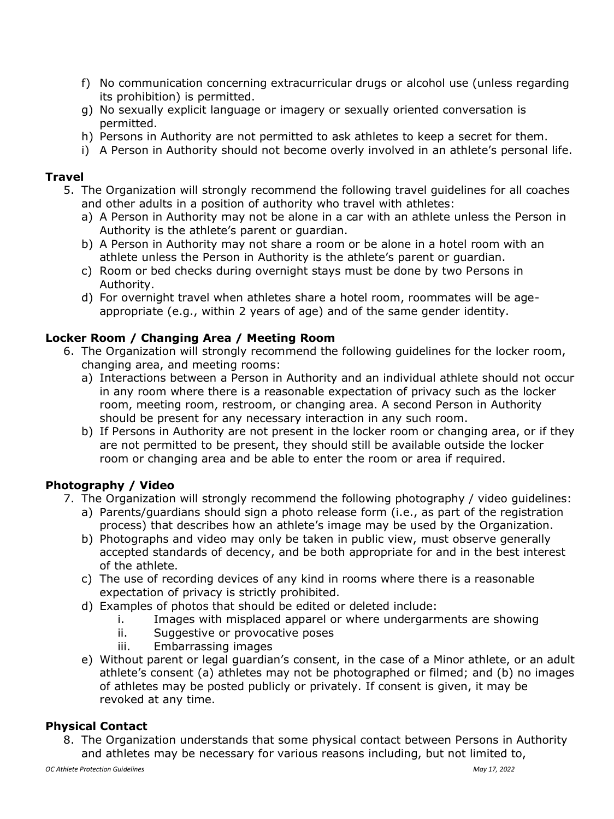- f) No communication concerning extracurricular drugs or alcohol use (unless regarding its prohibition) is permitted.
- g) No sexually explicit language or imagery or sexually oriented conversation is permitted.
- h) Persons in Authority are not permitted to ask athletes to keep a secret for them.
- i) A Person in Authority should not become overly involved in an athlete's personal life.

## **Travel**

- 5. The Organization will strongly recommend the following travel guidelines for all coaches and other adults in a position of authority who travel with athletes:
	- a) A Person in Authority may not be alone in a car with an athlete unless the Person in Authority is the athlete's parent or guardian.
	- b) A Person in Authority may not share a room or be alone in a hotel room with an athlete unless the Person in Authority is the athlete's parent or guardian.
	- c) Room or bed checks during overnight stays must be done by two Persons in Authority.
	- d) For overnight travel when athletes share a hotel room, roommates will be ageappropriate (e.g., within 2 years of age) and of the same gender identity.

# **Locker Room / Changing Area / Meeting Room**

- 6. The Organization will strongly recommend the following guidelines for the locker room, changing area, and meeting rooms:
	- a) Interactions between a Person in Authority and an individual athlete should not occur in any room where there is a reasonable expectation of privacy such as the locker room, meeting room, restroom, or changing area. A second Person in Authority should be present for any necessary interaction in any such room.
	- b) If Persons in Authority are not present in the locker room or changing area, or if they are not permitted to be present, they should still be available outside the locker room or changing area and be able to enter the room or area if required.

# **Photography / Video**

- 7. The Organization will strongly recommend the following photography / video guidelines:
	- a) Parents/guardians should sign a photo release form (i.e., as part of the registration process) that describes how an athlete's image may be used by the Organization.
	- b) Photographs and video may only be taken in public view, must observe generally accepted standards of decency, and be both appropriate for and in the best interest of the athlete.
	- c) The use of recording devices of any kind in rooms where there is a reasonable expectation of privacy is strictly prohibited.
	- d) Examples of photos that should be edited or deleted include:
		- i. Images with misplaced apparel or where undergarments are showing
		- ii. Suggestive or provocative poses
		- iii. Embarrassing images
	- e) Without parent or legal guardian's consent, in the case of a Minor athlete, or an adult athlete's consent (a) athletes may not be photographed or filmed; and (b) no images of athletes may be posted publicly or privately. If consent is given, it may be revoked at any time.

### **Physical Contact**

8. The Organization understands that some physical contact between Persons in Authority and athletes may be necessary for various reasons including, but not limited to,